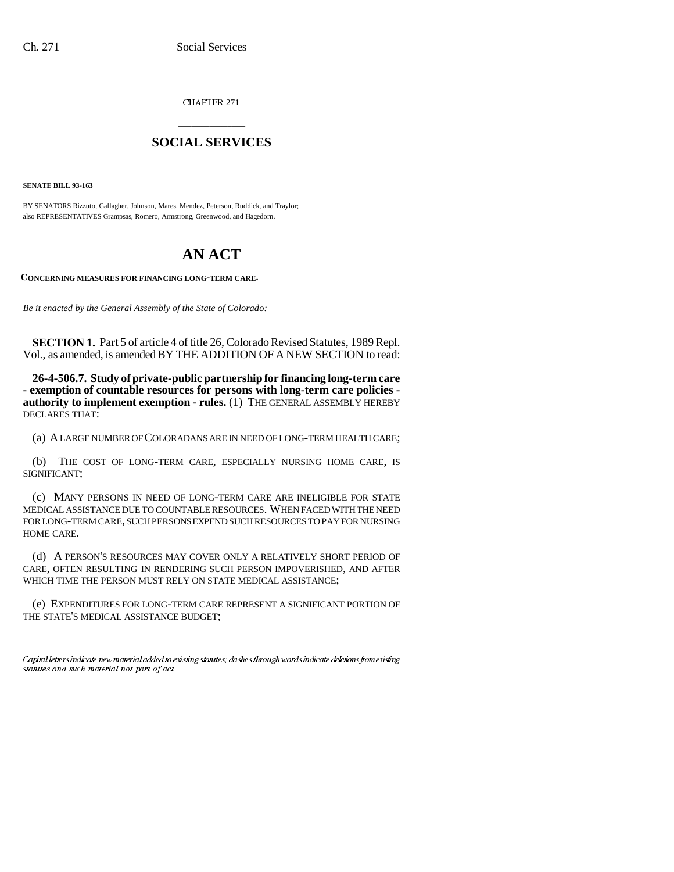CHAPTER 271

## \_\_\_\_\_\_\_\_\_\_\_\_\_\_\_ **SOCIAL SERVICES** \_\_\_\_\_\_\_\_\_\_\_\_\_\_\_

**SENATE BILL 93-163**

BY SENATORS Rizzuto, Gallagher, Johnson, Mares, Mendez, Peterson, Ruddick, and Traylor; also REPRESENTATIVES Grampsas, Romero, Armstrong, Greenwood, and Hagedorn.

# **AN ACT**

**CONCERNING MEASURES FOR FINANCING LONG-TERM CARE.**

*Be it enacted by the General Assembly of the State of Colorado:*

**SECTION 1.** Part 5 of article 4 of title 26, Colorado Revised Statutes, 1989 Repl. Vol., as amended, is amended BY THE ADDITION OF A NEW SECTION to read:

**26-4-506.7. Study of private-public partnership for financing long-term care - exemption of countable resources for persons with long-term care policies authority to implement exemption - rules.** (1) THE GENERAL ASSEMBLY HEREBY DECLARES THAT:

(a) A LARGE NUMBER OF COLORADANS ARE IN NEED OF LONG-TERM HEALTH CARE;

(b) THE COST OF LONG-TERM CARE, ESPECIALLY NURSING HOME CARE, IS SIGNIFICANT;

(c) MANY PERSONS IN NEED OF LONG-TERM CARE ARE INELIGIBLE FOR STATE MEDICAL ASSISTANCE DUE TO COUNTABLE RESOURCES. WHEN FACED WITH THE NEED FOR LONG-TERM CARE, SUCH PERSONS EXPEND SUCH RESOURCES TO PAY FOR NURSING HOME CARE.

(d) A PERSON'S RESOURCES MAY COVER ONLY A RELATIVELY SHORT PERIOD OF CARE, OFTEN RESULTING IN RENDERING SUCH PERSON IMPOVERISHED, AND AFTER WHICH TIME THE PERSON MUST RELY ON STATE MEDICAL ASSISTANCE;

THE STATE'S MEDICAL ASSISTANCE BUDGET;(e) EXPENDITURES FOR LONG-TERM CARE REPRESENT A SIGNIFICANT PORTION OF

Capital letters indicate new material added to existing statutes; dashes through words indicate deletions from existing statutes and such material not part of act.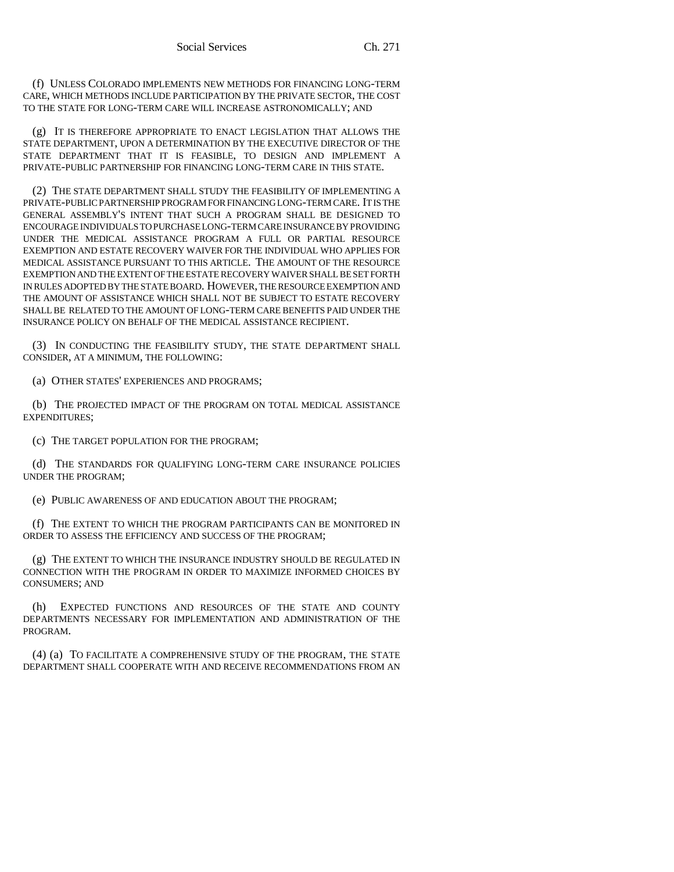(f) UNLESS COLORADO IMPLEMENTS NEW METHODS FOR FINANCING LONG-TERM CARE, WHICH METHODS INCLUDE PARTICIPATION BY THE PRIVATE SECTOR, THE COST TO THE STATE FOR LONG-TERM CARE WILL INCREASE ASTRONOMICALLY; AND

(g) IT IS THEREFORE APPROPRIATE TO ENACT LEGISLATION THAT ALLOWS THE STATE DEPARTMENT, UPON A DETERMINATION BY THE EXECUTIVE DIRECTOR OF THE STATE DEPARTMENT THAT IT IS FEASIBLE, TO DESIGN AND IMPLEMENT A PRIVATE-PUBLIC PARTNERSHIP FOR FINANCING LONG-TERM CARE IN THIS STATE.

(2) THE STATE DEPARTMENT SHALL STUDY THE FEASIBILITY OF IMPLEMENTING A PRIVATE-PUBLIC PARTNERSHIP PROGRAM FOR FINANCING LONG-TERM CARE. IT IS THE GENERAL ASSEMBLY'S INTENT THAT SUCH A PROGRAM SHALL BE DESIGNED TO ENCOURAGE INDIVIDUALS TO PURCHASE LONG-TERM CARE INSURANCE BY PROVIDING UNDER THE MEDICAL ASSISTANCE PROGRAM A FULL OR PARTIAL RESOURCE EXEMPTION AND ESTATE RECOVERY WAIVER FOR THE INDIVIDUAL WHO APPLIES FOR MEDICAL ASSISTANCE PURSUANT TO THIS ARTICLE. THE AMOUNT OF THE RESOURCE EXEMPTION AND THE EXTENT OF THE ESTATE RECOVERY WAIVER SHALL BE SET FORTH IN RULES ADOPTED BY THE STATE BOARD. HOWEVER, THE RESOURCE EXEMPTION AND THE AMOUNT OF ASSISTANCE WHICH SHALL NOT BE SUBJECT TO ESTATE RECOVERY SHALL BE RELATED TO THE AMOUNT OF LONG-TERM CARE BENEFITS PAID UNDER THE INSURANCE POLICY ON BEHALF OF THE MEDICAL ASSISTANCE RECIPIENT.

(3) IN CONDUCTING THE FEASIBILITY STUDY, THE STATE DEPARTMENT SHALL CONSIDER, AT A MINIMUM, THE FOLLOWING:

(a) OTHER STATES' EXPERIENCES AND PROGRAMS;

(b) THE PROJECTED IMPACT OF THE PROGRAM ON TOTAL MEDICAL ASSISTANCE EXPENDITURES;

(c) THE TARGET POPULATION FOR THE PROGRAM;

(d) THE STANDARDS FOR QUALIFYING LONG-TERM CARE INSURANCE POLICIES UNDER THE PROGRAM;

(e) PUBLIC AWARENESS OF AND EDUCATION ABOUT THE PROGRAM;

(f) THE EXTENT TO WHICH THE PROGRAM PARTICIPANTS CAN BE MONITORED IN ORDER TO ASSESS THE EFFICIENCY AND SUCCESS OF THE PROGRAM;

(g) THE EXTENT TO WHICH THE INSURANCE INDUSTRY SHOULD BE REGULATED IN CONNECTION WITH THE PROGRAM IN ORDER TO MAXIMIZE INFORMED CHOICES BY CONSUMERS; AND

EXPECTED FUNCTIONS AND RESOURCES OF THE STATE AND COUNTY DEPARTMENTS NECESSARY FOR IMPLEMENTATION AND ADMINISTRATION OF THE PROGRAM.

(4) (a) TO FACILITATE A COMPREHENSIVE STUDY OF THE PROGRAM, THE STATE DEPARTMENT SHALL COOPERATE WITH AND RECEIVE RECOMMENDATIONS FROM AN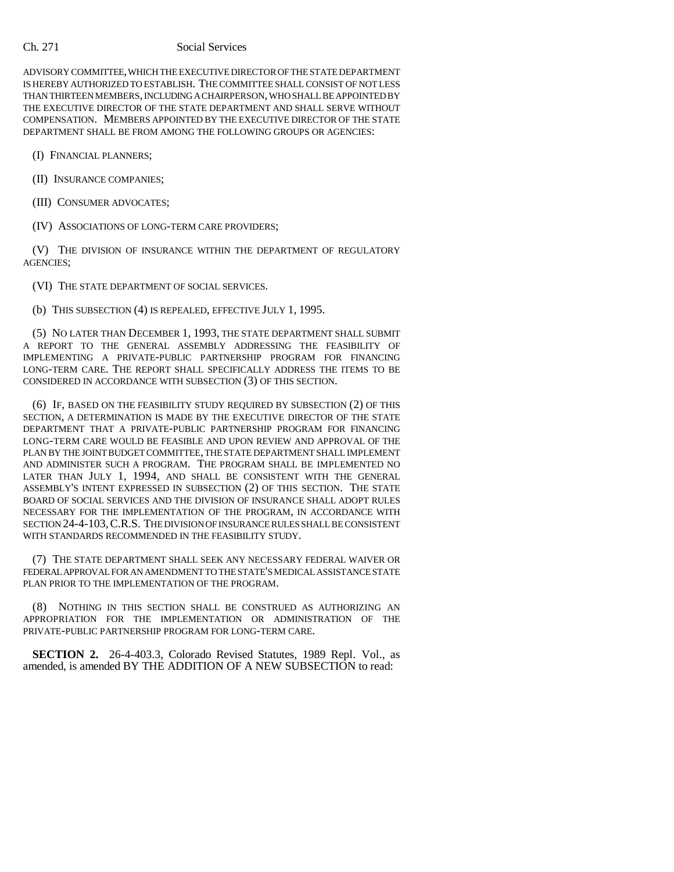### Ch. 271 Social Services

ADVISORY COMMITTEE, WHICH THE EXECUTIVE DIRECTOR OF THE STATE DEPARTMENT IS HEREBY AUTHORIZED TO ESTABLISH. THE COMMITTEE SHALL CONSIST OF NOT LESS THAN THIRTEEN MEMBERS, INCLUDING A CHAIRPERSON, WHO SHALL BE APPOINTED BY THE EXECUTIVE DIRECTOR OF THE STATE DEPARTMENT AND SHALL SERVE WITHOUT COMPENSATION. MEMBERS APPOINTED BY THE EXECUTIVE DIRECTOR OF THE STATE DEPARTMENT SHALL BE FROM AMONG THE FOLLOWING GROUPS OR AGENCIES:

(I) FINANCIAL PLANNERS;

(II) INSURANCE COMPANIES;

(III) CONSUMER ADVOCATES;

(IV) ASSOCIATIONS OF LONG-TERM CARE PROVIDERS;

(V) THE DIVISION OF INSURANCE WITHIN THE DEPARTMENT OF REGULATORY AGENCIES;

(VI) THE STATE DEPARTMENT OF SOCIAL SERVICES.

(b) THIS SUBSECTION (4) IS REPEALED, EFFECTIVE JULY 1, 1995.

(5) NO LATER THAN DECEMBER 1, 1993, THE STATE DEPARTMENT SHALL SUBMIT A REPORT TO THE GENERAL ASSEMBLY ADDRESSING THE FEASIBILITY OF IMPLEMENTING A PRIVATE-PUBLIC PARTNERSHIP PROGRAM FOR FINANCING LONG-TERM CARE. THE REPORT SHALL SPECIFICALLY ADDRESS THE ITEMS TO BE CONSIDERED IN ACCORDANCE WITH SUBSECTION (3) OF THIS SECTION.

(6) IF, BASED ON THE FEASIBILITY STUDY REQUIRED BY SUBSECTION (2) OF THIS SECTION, A DETERMINATION IS MADE BY THE EXECUTIVE DIRECTOR OF THE STATE DEPARTMENT THAT A PRIVATE-PUBLIC PARTNERSHIP PROGRAM FOR FINANCING LONG-TERM CARE WOULD BE FEASIBLE AND UPON REVIEW AND APPROVAL OF THE PLAN BY THE JOINT BUDGET COMMITTEE, THE STATE DEPARTMENT SHALL IMPLEMENT AND ADMINISTER SUCH A PROGRAM. THE PROGRAM SHALL BE IMPLEMENTED NO LATER THAN JULY 1, 1994, AND SHALL BE CONSISTENT WITH THE GENERAL ASSEMBLY'S INTENT EXPRESSED IN SUBSECTION (2) OF THIS SECTION. THE STATE BOARD OF SOCIAL SERVICES AND THE DIVISION OF INSURANCE SHALL ADOPT RULES NECESSARY FOR THE IMPLEMENTATION OF THE PROGRAM, IN ACCORDANCE WITH SECTION 24-4-103,C.R.S. THE DIVISION OF INSURANCE RULES SHALL BE CONSISTENT WITH STANDARDS RECOMMENDED IN THE FEASIBILITY STUDY.

(7) THE STATE DEPARTMENT SHALL SEEK ANY NECESSARY FEDERAL WAIVER OR FEDERAL APPROVAL FOR AN AMENDMENT TO THE STATE'S MEDICAL ASSISTANCE STATE PLAN PRIOR TO THE IMPLEMENTATION OF THE PROGRAM.

(8) NOTHING IN THIS SECTION SHALL BE CONSTRUED AS AUTHORIZING AN APPROPRIATION FOR THE IMPLEMENTATION OR ADMINISTRATION OF THE PRIVATE-PUBLIC PARTNERSHIP PROGRAM FOR LONG-TERM CARE.

**SECTION 2.** 26-4-403.3, Colorado Revised Statutes, 1989 Repl. Vol., as amended, is amended BY THE ADDITION OF A NEW SUBSECTION to read: